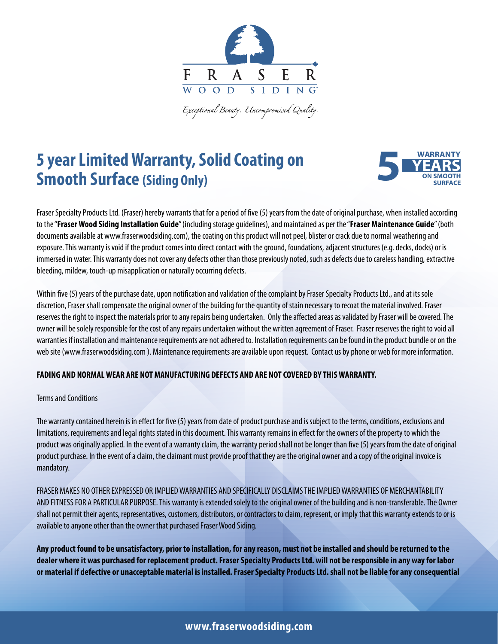

Exceptional Beauty. Uncompromised Quality.

# **5 year Limited Warranty, Solid Coating on Smooth Surface (Siding Only)**



Fraser Specialty Products Ltd. (Fraser) hereby warrants that for a period of five (5) years from the date of original purchase, when installed according to the "**Fraser Wood Siding Installation Guide**" (including storage guidelines), and maintained as per the "**Fraser Maintenance Guide**" (both documents available at www.fraserwoodsiding.com), the coating on this product will not peel, blister or crack due to normal weathering and exposure. This warranty is void if the product comes into direct contact with the ground, foundations, adjacent structures (e.g. decks, docks) or is immersed in water. This warranty does not cover any defects other than those previously noted, such as defects due to careless handling, extractive bleeding, mildew, touch-up misapplication or naturally occurring defects.

Within five (5) years of the purchase date, upon notification and validation of the complaint by Fraser Specialty Products Ltd., and at its sole discretion, Fraser shall compensate the original owner of the building for the quantity of stain necessary to recoat the material involved. Fraser reserves the right to inspect the materials prior to any repairs being undertaken. Only the affected areas as validated by Fraser will be covered. The owner will be solely responsible for the cost of any repairs undertaken without the written agreement of Fraser. Fraser reserves the right to void all warranties if installation and maintenance requirements are not adhered to. Installation requirements can be found in the product bundle or on the web site (www.fraserwoodsiding.com ). Maintenance requirements are available upon request. Contact us by phone or web for more information.

### **FADING AND NORMAL WEAR ARE NOT MANUFACTURING DEFECTS AND ARE NOT COVERED BY THIS WARRANTY.**

### Terms and Conditions

The warranty contained herein is in effect for five (5) years from date of product purchase and is subject to the terms, conditions, exclusions and limitations, requirements and legal rights stated in this document. This warranty remains in effect for the owners of the property to which the product was originally applied. In the event of a warranty claim, the warranty period shall not be longer than five (5) years from the date of original product purchase. In the event of a claim, the claimant must provide proof that they are the original owner and a copy of the original invoice is mandatory.

FRASER MAKES NO OTHER EXPRESSED OR IMPLIED WARRANTIES AND SPECIFICALLY DISCLAIMS THE IMPLIED WARRANTIES OF MERCHANTABILITY AND FITNESS FOR A PARTICULAR PURPOSE. This warranty is extended solely to the original owner of the building and is non-transferable. The Owner shall not permit their agents, representatives, customers, distributors, or contractors to claim, represent, or imply that this warranty extends to or is available to anyone other than the owner that purchased Fraser Wood Siding.

**Any product found to be unsatisfactory, prior to installation, for any reason, must not be installed and should be returned to the dealer where it was purchased for replacement product. Fraser Specialty Products Ltd. will not be responsible in any way for labor or material if defective or unacceptable material is installed. Fraser Specialty Products Ltd. shall not be liable for any consequential** 

## **www.fraserwoodsiding.com**